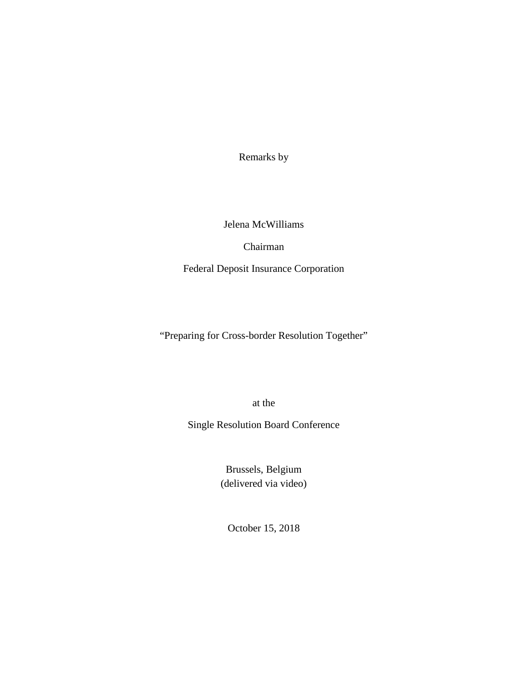Remarks by

Jelena McWilliams

Chairman

Federal Deposit Insurance Corporation

"Preparing for Cross-border Resolution Together"

at the

Single Resolution Board Conference

Brussels, Belgium (delivered via video)

October 15, 2018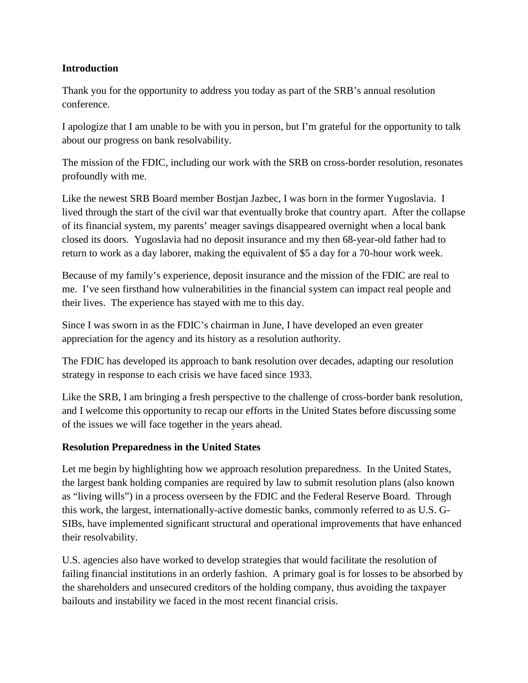#### **Introduction**

Thank you for the opportunity to address you today as part of the SRB's annual resolution conference.

I apologize that I am unable to be with you in person, but I'm grateful for the opportunity to talk about our progress on bank resolvability.

The mission of the FDIC, including our work with the SRB on cross-border resolution, resonates profoundly with me.

Like the newest SRB Board member Bostjan Jazbec, I was born in the former Yugoslavia. I lived through the start of the civil war that eventually broke that country apart. After the collapse of its financial system, my parents' meager savings disappeared overnight when a local bank closed its doors. Yugoslavia had no deposit insurance and my then 68-year-old father had to return to work as a day laborer, making the equivalent of \$5 a day for a 70-hour work week.

Because of my family's experience, deposit insurance and the mission of the FDIC are real to me. I've seen firsthand how vulnerabilities in the financial system can impact real people and their lives. The experience has stayed with me to this day.

Since I was sworn in as the FDIC's chairman in June, I have developed an even greater appreciation for the agency and its history as a resolution authority.

The FDIC has developed its approach to bank resolution over decades, adapting our resolution strategy in response to each crisis we have faced since 1933.

Like the SRB, I am bringing a fresh perspective to the challenge of cross-border bank resolution, and I welcome this opportunity to recap our efforts in the United States before discussing some of the issues we will face together in the years ahead.

#### **Resolution Preparedness in the United States**

Let me begin by highlighting how we approach resolution preparedness. In the United States, the largest bank holding companies are required by law to submit resolution plans (also known as "living wills") in a process overseen by the FDIC and the Federal Reserve Board. Through this work, the largest, internationally-active domestic banks, commonly referred to as U.S. G-SIBs, have implemented significant structural and operational improvements that have enhanced their resolvability.

U.S. agencies also have worked to develop strategies that would facilitate the resolution of failing financial institutions in an orderly fashion. A primary goal is for losses to be absorbed by the shareholders and unsecured creditors of the holding company, thus avoiding the taxpayer bailouts and instability we faced in the most recent financial crisis.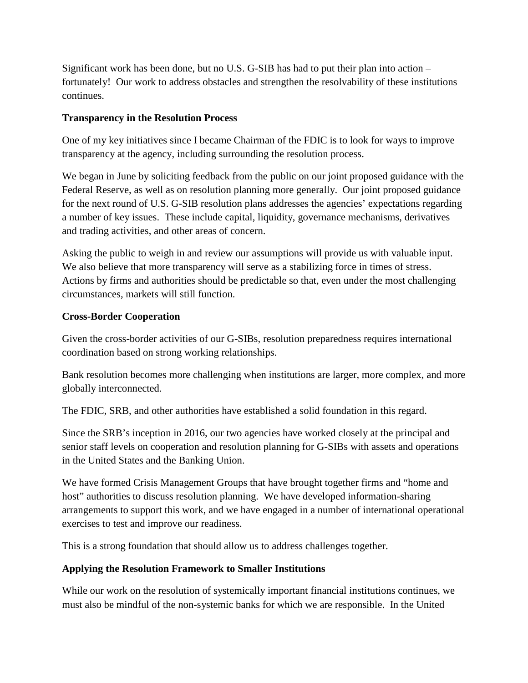Significant work has been done, but no U.S. G-SIB has had to put their plan into action – fortunately! Our work to address obstacles and strengthen the resolvability of these institutions continues.

### **Transparency in the Resolution Process**

One of my key initiatives since I became Chairman of the FDIC is to look for ways to improve transparency at the agency, including surrounding the resolution process.

We began in June by soliciting feedback from the public on our joint proposed guidance with the Federal Reserve, as well as on resolution planning more generally. Our joint proposed guidance for the next round of U.S. G-SIB resolution plans addresses the agencies' expectations regarding a number of key issues. These include capital, liquidity, governance mechanisms, derivatives and trading activities, and other areas of concern.

Asking the public to weigh in and review our assumptions will provide us with valuable input. We also believe that more transparency will serve as a stabilizing force in times of stress. Actions by firms and authorities should be predictable so that, even under the most challenging circumstances, markets will still function.

## **Cross-Border Cooperation**

Given the cross-border activities of our G-SIBs, resolution preparedness requires international coordination based on strong working relationships.

Bank resolution becomes more challenging when institutions are larger, more complex, and more globally interconnected.

The FDIC, SRB, and other authorities have established a solid foundation in this regard.

Since the SRB's inception in 2016, our two agencies have worked closely at the principal and senior staff levels on cooperation and resolution planning for G-SIBs with assets and operations in the United States and the Banking Union.

We have formed Crisis Management Groups that have brought together firms and "home and host" authorities to discuss resolution planning. We have developed information-sharing arrangements to support this work, and we have engaged in a number of international operational exercises to test and improve our readiness.

This is a strong foundation that should allow us to address challenges together.

# **Applying the Resolution Framework to Smaller Institutions**

While our work on the resolution of systemically important financial institutions continues, we must also be mindful of the non-systemic banks for which we are responsible. In the United